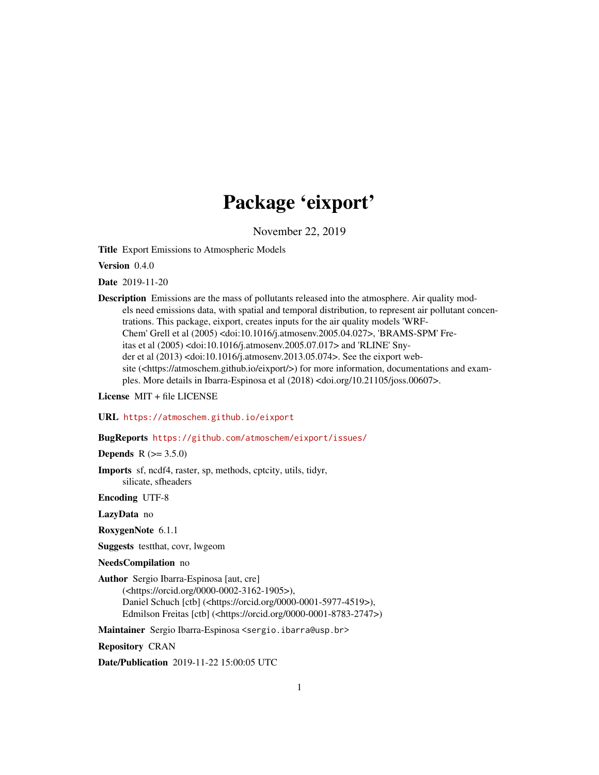# Package 'eixport'

November 22, 2019

<span id="page-0-0"></span>Title Export Emissions to Atmospheric Models

Version 0.4.0

Date 2019-11-20

Description Emissions are the mass of pollutants released into the atmosphere. Air quality models need emissions data, with spatial and temporal distribution, to represent air pollutant concentrations. This package, eixport, creates inputs for the air quality models 'WRF-Chem' Grell et al (2005) <doi:10.1016/j.atmosenv.2005.04.027>, 'BRAMS-SPM' Freitas et al (2005) <doi:10.1016/j.atmosenv.2005.07.017> and 'RLINE' Snyder et al (2013) <doi:10.1016/j.atmosenv.2013.05.074>. See the eixport website (<https://atmoschem.github.io/eixport/>) for more information, documentations and examples. More details in Ibarra-Espinosa et al (2018) <doi.org/10.21105/joss.00607>.

License MIT + file LICENSE

URL <https://atmoschem.github.io/eixport>

BugReports <https://github.com/atmoschem/eixport/issues/>

**Depends**  $R (= 3.5.0)$ 

Imports sf, ncdf4, raster, sp, methods, cptcity, utils, tidyr, silicate, sfheaders

Encoding UTF-8

LazyData no

RoxygenNote 6.1.1

Suggests testthat, covr, lwgeom

NeedsCompilation no

Author Sergio Ibarra-Espinosa [aut, cre] (<https://orcid.org/0000-0002-3162-1905>), Daniel Schuch [ctb] (<https://orcid.org/0000-0001-5977-4519>), Edmilson Freitas [ctb] (<https://orcid.org/0000-0001-8783-2747>)

Maintainer Sergio Ibarra-Espinosa <sergio.ibarra@usp.br>

Repository CRAN

Date/Publication 2019-11-22 15:00:05 UTC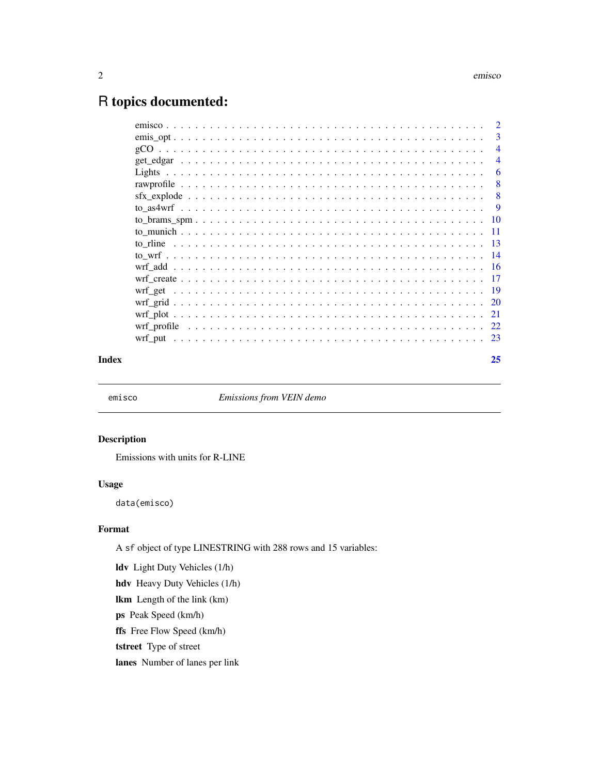# <span id="page-1-0"></span>R topics documented:

| Index | 25             |
|-------|----------------|
|       |                |
|       |                |
|       |                |
|       |                |
|       |                |
|       |                |
|       |                |
|       |                |
|       |                |
|       |                |
|       |                |
|       |                |
|       |                |
|       |                |
|       | -6             |
|       | $\overline{4}$ |
|       |                |
|       |                |
|       |                |

emisco *Emissions from VEIN demo*

# Description

Emissions with units for R-LINE

# Usage

data(emisco)

# Format

A sf object of type LINESTRING with 288 rows and 15 variables:

ldv Light Duty Vehicles (1/h) hdv Heavy Duty Vehicles (1/h) lkm Length of the link (km) ps Peak Speed (km/h) ffs Free Flow Speed (km/h) tstreet Type of street lanes Number of lanes per link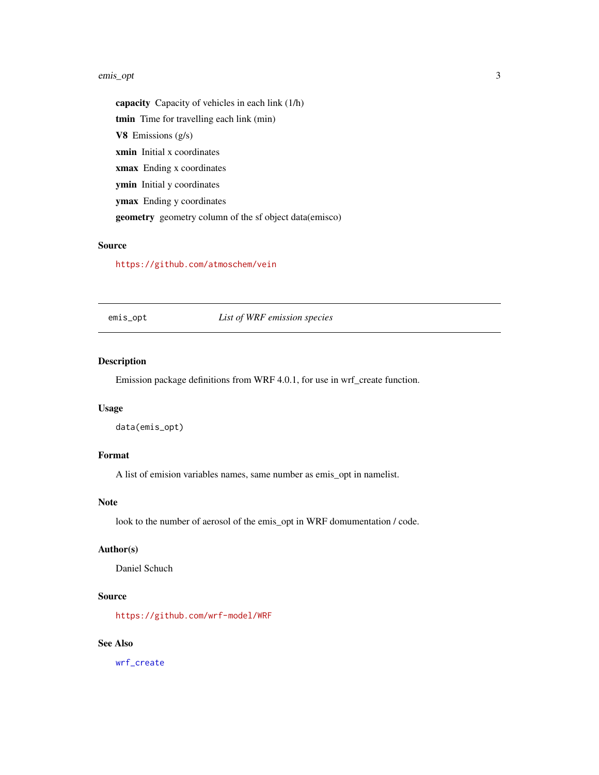#### <span id="page-2-0"></span>emis\_opt 3

capacity Capacity of vehicles in each link (1/h) tmin Time for travelling each link (min) V8 Emissions  $(g/s)$ xmin Initial x coordinates xmax Ending x coordinates ymin Initial y coordinates ymax Ending y coordinates geometry geometry column of the sf object data(emisco)

#### Source

<https://github.com/atmoschem/vein>

<span id="page-2-1"></span>emis\_opt *List of WRF emission species*

# Description

Emission package definitions from WRF 4.0.1, for use in wrf\_create function.

# Usage

data(emis\_opt)

# Format

A list of emision variables names, same number as emis\_opt in namelist.

# Note

look to the number of aerosol of the emis\_opt in WRF domumentation / code.

# Author(s)

Daniel Schuch

# Source

<https://github.com/wrf-model/WRF>

# See Also

[wrf\\_create](#page-16-1)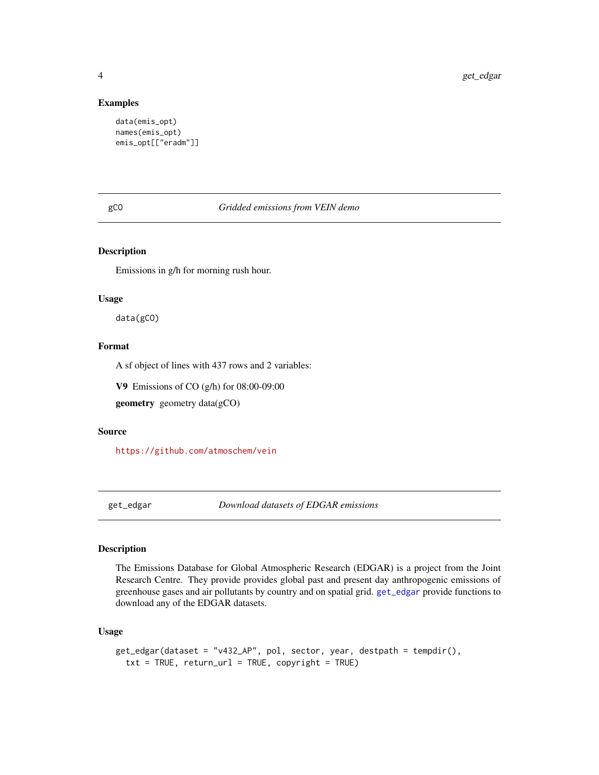#### Examples

```
data(emis_opt)
names(emis_opt)
emis_opt[["eradm"]]
```
gCO *Gridded emissions from VEIN demo*

# Description

Emissions in g/h for morning rush hour.

#### Usage

data(gCO)

# Format

A sf object of lines with 437 rows and 2 variables:

V9 Emissions of CO (g/h) for 08:00-09:00

geometry geometry data(gCO)

# Source

<https://github.com/atmoschem/vein>

<span id="page-3-1"></span>get\_edgar *Download datasets of EDGAR emissions*

# Description

The Emissions Database for Global Atmospheric Research (EDGAR) is a project from the Joint Research Centre. They provide provides global past and present day anthropogenic emissions of greenhouse gases and air pollutants by country and on spatial grid. [get\\_edgar](#page-3-1) provide functions to download any of the EDGAR datasets.

#### Usage

```
get_edgar(dataset = "v432_AP", pol, sector, year, destpath = tempdir(),
  txt = TRUE, return_url = TRUE, copyright = TRUE)
```
<span id="page-3-0"></span>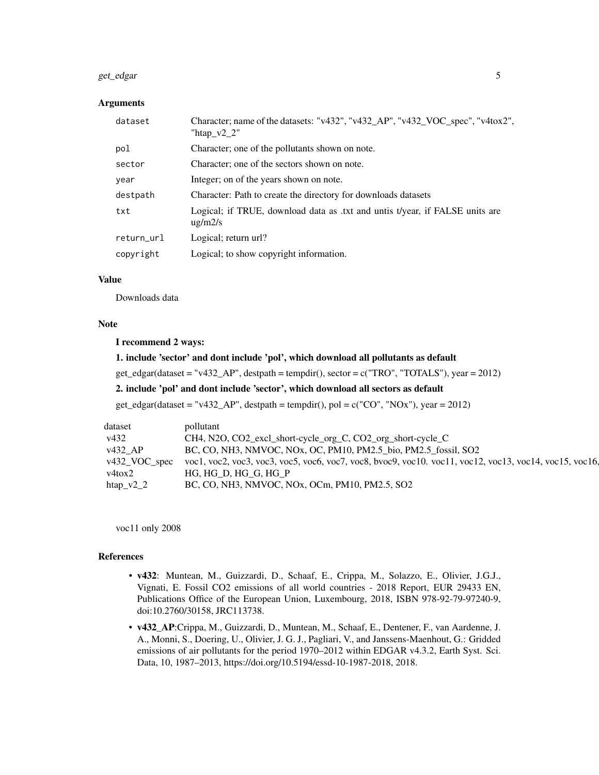#### get\_edgar 5

#### **Arguments**

| dataset    | Character; name of the datasets: "v432", "v432_AP", "v432_VOC_spec", "v4tox2",<br>"htap $v2$ 2" |
|------------|-------------------------------------------------------------------------------------------------|
| pol        | Character; one of the pollutants shown on note.                                                 |
| sector     | Character; one of the sectors shown on note.                                                    |
| year       | Integer; on of the years shown on note.                                                         |
| destpath   | Character: Path to create the directory for downloads datasets                                  |
| txt        | Logical; if TRUE, download data as .txt and untis t/year, if FALSE units are<br>$\mu$ g/m2/s    |
| return_url | Logical; return url?                                                                            |
| copyright  | Logical; to show copyright information.                                                         |

# Value

Downloads data

#### Note

#### I recommend 2 ways:

# 1. include 'sector' and dont include 'pol', which download all pollutants as default

get\_edgar(dataset = "v432\_AP", destpath = tempdir(), sector = c("TRO", "TOTALS"), year = 2012)

# 2. include 'pol' and dont include 'sector', which download all sectors as default

get\_edgar(dataset = "v432\_AP", destpath = tempdir(), pol = c("CO", "NOx"), year = 2012)

| v432                  | CH4, N2O, CO2_excl_short-cycle_org_C, CO2_org_short-cycle_C                                                           |
|-----------------------|-----------------------------------------------------------------------------------------------------------------------|
| $v432$ <sub>-AP</sub> | BC, CO, NH3, NMVOC, NOx, OC, PM10, PM2.5_bio, PM2.5_fossil, SO2                                                       |
|                       | v432_VOC_spec voc1, voc2, voc3, voc3, voc5, voc6, voc7, voc8, bvoc9, voc10. voc11, voc12, voc13, voc14, voc15, voc16, |
| v4tox2                | HG, HG_D, HG_G, HG_P                                                                                                  |
| htap_ $v2_2$          | BC, CO, NH3, NMVOC, NOx, OCm, PM10, PM2.5, SO2                                                                        |

voc11 only 2008

#### References

- v432: Muntean, M., Guizzardi, D., Schaaf, E., Crippa, M., Solazzo, E., Olivier, J.G.J., Vignati, E. Fossil CO2 emissions of all world countries - 2018 Report, EUR 29433 EN, Publications Office of the European Union, Luxembourg, 2018, ISBN 978-92-79-97240-9, doi:10.2760/30158, JRC113738.
- v432\_AP:Crippa, M., Guizzardi, D., Muntean, M., Schaaf, E., Dentener, F., van Aardenne, J. A., Monni, S., Doering, U., Olivier, J. G. J., Pagliari, V., and Janssens-Maenhout, G.: Gridded emissions of air pollutants for the period 1970–2012 within EDGAR v4.3.2, Earth Syst. Sci. Data, 10, 1987–2013, https://doi.org/10.5194/essd-10-1987-2018, 2018.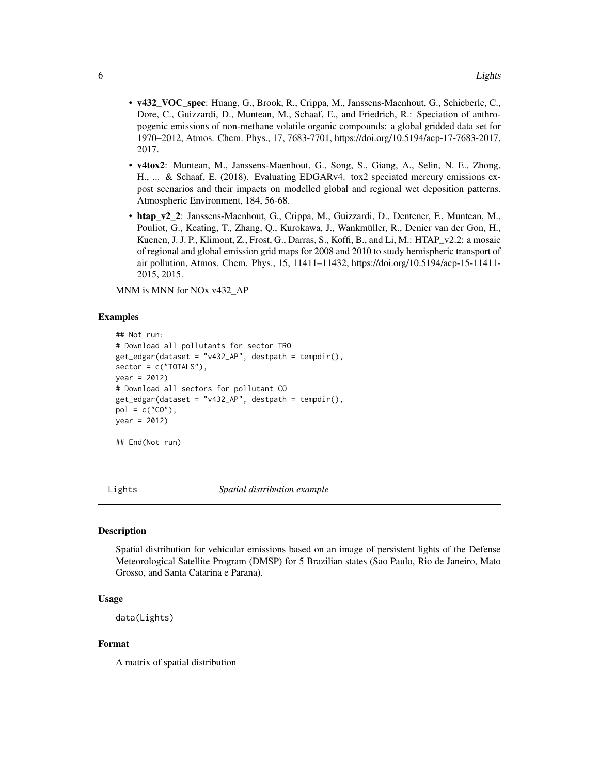- <span id="page-5-0"></span>• v432\_VOC\_spec: Huang, G., Brook, R., Crippa, M., Janssens-Maenhout, G., Schieberle, C., Dore, C., Guizzardi, D., Muntean, M., Schaaf, E., and Friedrich, R.: Speciation of anthropogenic emissions of non-methane volatile organic compounds: a global gridded data set for 1970–2012, Atmos. Chem. Phys., 17, 7683-7701, https://doi.org/10.5194/acp-17-7683-2017, 2017.
- v4tox2: Muntean, M., Janssens-Maenhout, G., Song, S., Giang, A., Selin, N. E., Zhong, H., ... & Schaaf, E. (2018). Evaluating EDGARv4. tox2 speciated mercury emissions expost scenarios and their impacts on modelled global and regional wet deposition patterns. Atmospheric Environment, 184, 56-68.
- htap v2 2: Janssens-Maenhout, G., Crippa, M., Guizzardi, D., Dentener, F., Muntean, M., Pouliot, G., Keating, T., Zhang, Q., Kurokawa, J., Wankmüller, R., Denier van der Gon, H., Kuenen, J. J. P., Klimont, Z., Frost, G., Darras, S., Koffi, B., and Li, M.: HTAP\_v2.2: a mosaic of regional and global emission grid maps for 2008 and 2010 to study hemispheric transport of air pollution, Atmos. Chem. Phys., 15, 11411–11432, https://doi.org/10.5194/acp-15-11411- 2015, 2015.

MNM is MNN for NOx v432\_AP

#### Examples

```
## Not run:
# Download all pollutants for sector TRO
get_edgar(dataset = "v432_AP", destpath = tempdir(),
sector = c("TOTALS"),
year = 2012)
# Download all sectors for pollutant CO
get_edgar(dataset = "v432_AP", destpath = tempdir(),
pol = c("CO"),
year = 2012)
```
## End(Not run)

<span id="page-5-1"></span>Lights *Spatial distribution example*

#### Description

Spatial distribution for vehicular emissions based on an image of persistent lights of the Defense Meteorological Satellite Program (DMSP) for 5 Brazilian states (Sao Paulo, Rio de Janeiro, Mato Grosso, and Santa Catarina e Parana).

# Usage

data(Lights)

#### Format

A matrix of spatial distribution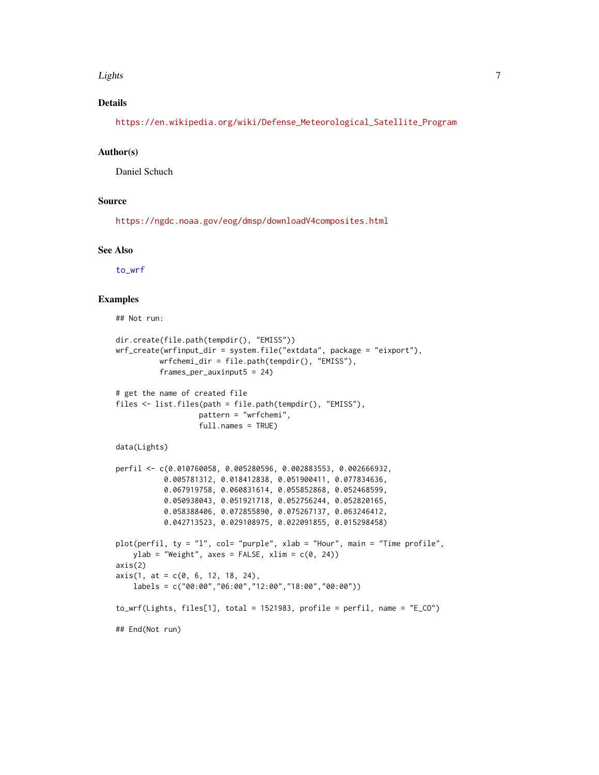#### <span id="page-6-0"></span>Lights **The Community of the Community Community**  $\sim$  7

# Details

[https://en.wikipedia.org/wiki/Defense\\_Meteorological\\_Satellite\\_Program](https://en.wikipedia.org/wiki/Defense_Meteorological_Satellite_Program)

#### Author(s)

Daniel Schuch

# Source

<https://ngdc.noaa.gov/eog/dmsp/downloadV4composites.html>

#### See Also

[to\\_wrf](#page-13-1)

```
## Not run:
dir.create(file.path(tempdir(), "EMISS"))
wrf_create(wrfinput_dir = system.file("extdata", package = "eixport"),
          wrfchemi_dir = file.path(tempdir(), "EMISS"),
         frames_per_auxinput5 = 24)
# get the name of created file
files <- list.files(path = file.path(tempdir(), "EMISS"),
                  pattern = "wrfchemi",
                  full.names = TRUE)
data(Lights)
perfil <- c(0.010760058, 0.005280596, 0.002883553, 0.002666932,
          0.005781312, 0.018412838, 0.051900411, 0.077834636,
          0.067919758, 0.060831614, 0.055852868, 0.052468599,
          0.050938043, 0.051921718, 0.052756244, 0.052820165,
          0.058388406, 0.072855890, 0.075267137, 0.063246412,
          0.042713523, 0.029108975, 0.022091855, 0.015298458)
plot(perfil, ty = "l", col= "purple", xlab = "Hour", main = "Time profile",
   ylab = "Weight", axes = FALSE, xlim = c(0, 24))axis(2)
axis(1, at = c(0, 6, 12, 18, 24),labels = c("00:00","06:00","12:00","18:00","00:00"))
to_wrf(Lights, files[1], total = 1521983, profile = perfil, name = "E_CO")
## End(Not run)
```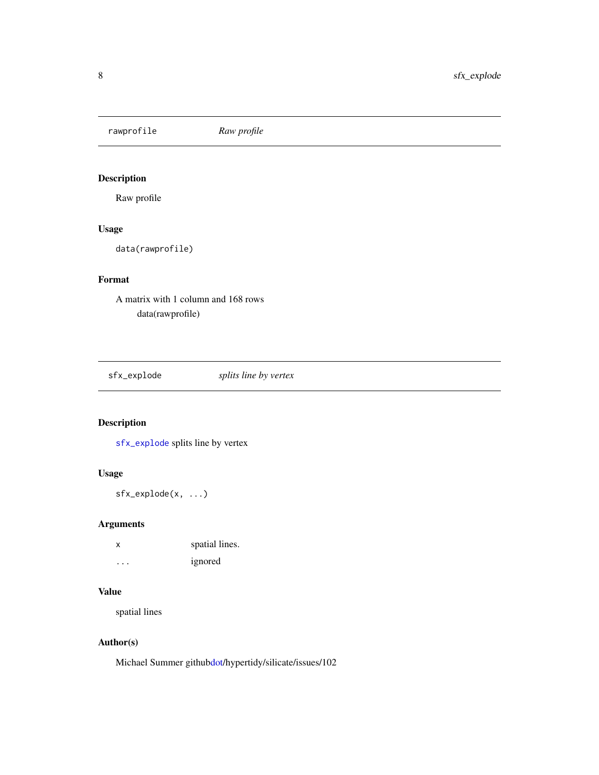<span id="page-7-0"></span>rawprofile *Raw profile*

# Description

Raw profile

# Usage

data(rawprofile)

# Format

A matrix with 1 column and 168 rows data(rawprofile)

<span id="page-7-1"></span>sfx\_explode *splits line by vertex*

# Description

[sfx\\_explode](#page-7-1) splits line by vertex

# Usage

sfx\_explode(x, ...)

# Arguments

| X       | spatial lines. |
|---------|----------------|
| $\cdot$ | ignored        |

# Value

spatial lines

# Author(s)

Michael Summer githu[bdot/](#page-0-0)hypertidy/silicate/issues/102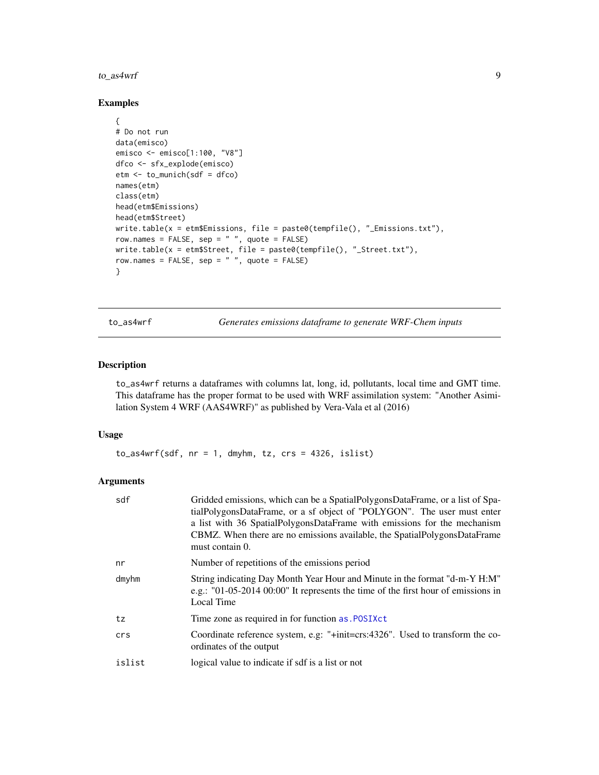#### <span id="page-8-0"></span>to\_as4wrf 9

# Examples

```
{
# Do not run
data(emisco)
emisco <- emisco[1:100, "V8"]
dfco <- sfx_explode(emisco)
etm <- to_munich(sdf = dfco)
names(etm)
class(etm)
head(etm$Emissions)
head(etm$Street)
write.table(x = etm$Emissions, file = paste0(tempfile(), "_Emissions.txt"),
row.names = FALSE, sep = " ", quote = FALSE)
write.table(x = etm$Street, file = paste0(tempfile(), "_Street.txt"),
row.names = FALSE, sep = " ", quote = FALSE)
}
```
to\_as4wrf *Generates emissions dataframe to generate WRF-Chem inputs*

# Description

to\_as4wrf returns a dataframes with columns lat, long, id, pollutants, local time and GMT time. This dataframe has the proper format to be used with WRF assimilation system: "Another Asimilation System 4 WRF (AAS4WRF)" as published by Vera-Vala et al (2016)

# Usage

 $to$ <sub>\_as4wrf(sdf, nr = 1, dmyhm, tz, crs = 4326, islist)</sub>

# Arguments

| sdf    | Gridded emissions, which can be a SpatialPolygonsDataFrame, or a list of Spa-<br>tialPolygonsDataFrame, or a sf object of "POLYGON". The user must enter<br>a list with 36 SpatialPolygonsDataFrame with emissions for the mechanism<br>CBMZ. When there are no emissions available, the SpatialPolygonsDataFrame<br>must contain 0. |
|--------|--------------------------------------------------------------------------------------------------------------------------------------------------------------------------------------------------------------------------------------------------------------------------------------------------------------------------------------|
| nr     | Number of repetitions of the emissions period                                                                                                                                                                                                                                                                                        |
| dmyhm  | String indicating Day Month Year Hour and Minute in the format "d-m-Y H:M"<br>e.g.: "01-05-2014 00:00" It represents the time of the first hour of emissions in<br>Local Time                                                                                                                                                        |
| tz     | Time zone as required in for function as . POSIXct                                                                                                                                                                                                                                                                                   |
| crs    | Coordinate reference system, e.g: "+init=crs:4326". Used to transform the co-<br>ordinates of the output                                                                                                                                                                                                                             |
| islist | logical value to indicate if sdf is a list or not                                                                                                                                                                                                                                                                                    |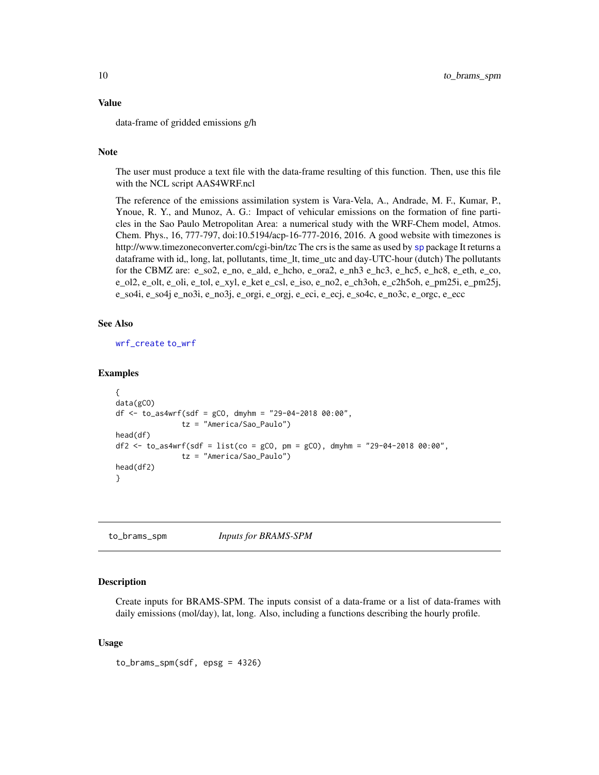#### <span id="page-9-0"></span>Value

data-frame of gridded emissions g/h

# Note

The user must produce a text file with the data-frame resulting of this function. Then, use this file with the NCL script AAS4WRF.ncl

The reference of the emissions assimilation system is Vara-Vela, A., Andrade, M. F., Kumar, P., Ynoue, R. Y., and Munoz, A. G.: Impact of vehicular emissions on the formation of fine particles in the Sao Paulo Metropolitan Area: a numerical study with the WRF-Chem model, Atmos. Chem. Phys., 16, 777-797, doi:10.5194/acp-16-777-2016, 2016. A good website with timezones is http://www.timezoneconverter.com/cgi-bin/tzc The crs is the same as used by [sp](#page-0-0) package It returns a dataframe with id,, long, lat, pollutants, time\_lt, time\_utc and day-UTC-hour (dutch) The pollutants for the CBMZ are: e\_so2, e\_no, e\_ald, e\_hcho, e\_ora2, e\_nh3 e\_hc3, e\_hc5, e\_hc8, e\_eth, e\_co, e\_ol2, e\_olt, e\_oli, e\_tol, e\_xyl, e\_ket e\_csl, e\_iso, e\_no2, e\_ch3oh, e\_c2h5oh, e\_pm25i, e\_pm25j, e\_so4i, e\_so4j e\_no3i, e\_no3j, e\_orgi, e\_orgj, e\_eci, e\_ecj, e\_so4c, e\_no3c, e\_orgc, e\_ecc

# See Also

[wrf\\_create](#page-16-1) [to\\_wrf](#page-13-1)

#### Examples

```
{
data(gCO)
df \le to_as4wrf(sdf = gCO, dmyhm = "29-04-2018 00:00",
               tz = "America/Sao_Paulo")
head(df)
df2 <- to_as4wrf(sdf = list(co = gCO, pm = gCO), dmyhm = "29-04-2018 00:00",
               tz = "America/Sao_Paulo")
head(df2)
}
```
to\_brams\_spm *Inputs for BRAMS-SPM*

# Description

Create inputs for BRAMS-SPM. The inputs consist of a data-frame or a list of data-frames with daily emissions (mol/day), lat, long. Also, including a functions describing the hourly profile.

#### Usage

to\_brams\_spm(sdf, epsg = 4326)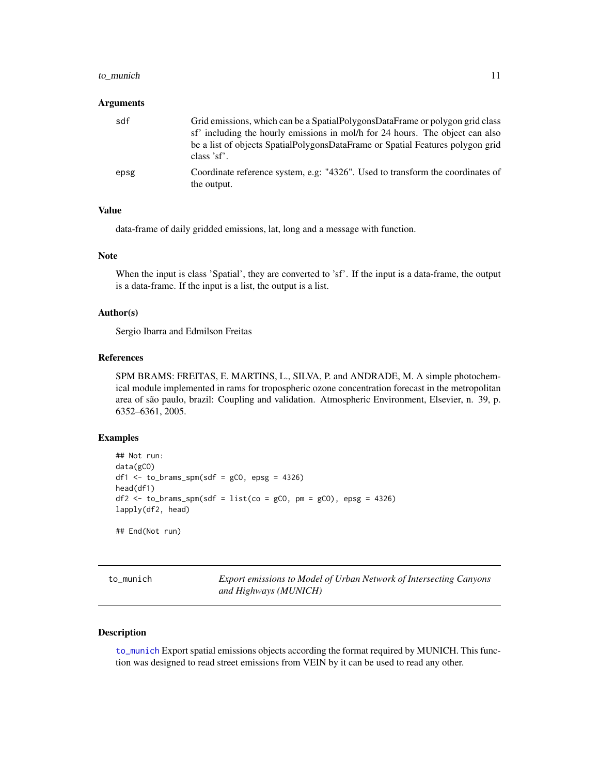#### <span id="page-10-0"></span>to\_munich 11

#### Arguments

| sdf  | Grid emissions, which can be a SpatialPolygonsDataFrame or polygon grid class<br>sf' including the hourly emissions in mol/h for 24 hours. The object can also<br>be a list of objects SpatialPolygonsDataFrame or Spatial Features polygon grid<br>class 'sf'. |
|------|-----------------------------------------------------------------------------------------------------------------------------------------------------------------------------------------------------------------------------------------------------------------|
| epsg | Coordinate reference system, e.g. "4326". Used to transform the coordinates of<br>the output.                                                                                                                                                                   |

# Value

data-frame of daily gridded emissions, lat, long and a message with function.

#### Note

When the input is class 'Spatial', they are converted to 'sf'. If the input is a data-frame, the output is a data-frame. If the input is a list, the output is a list.

# Author(s)

Sergio Ibarra and Edmilson Freitas

# References

SPM BRAMS: FREITAS, E. MARTINS, L., SILVA, P. and ANDRADE, M. A simple photochemical module implemented in rams for tropospheric ozone concentration forecast in the metropolitan area of são paulo, brazil: Coupling and validation. Atmospheric Environment, Elsevier, n. 39, p. 6352–6361, 2005.

#### Examples

```
## Not run:
data(gCO)
df1 \le to_brams_spm(sdf = gCO, epsg = 4326)
head(df1)
df2 \leq -\text{to_lbrams_spm} (sdf = list(co = gCO, pm = gCO), epsg = 4326)lapply(df2, head)
## End(Not run)
```
<span id="page-10-1"></span>to\_munich *Export emissions to Model of Urban Network of Intersecting Canyons and Highways (MUNICH)*

# Description

[to\\_munich](#page-10-1) Export spatial emissions objects according the format required by MUNICH. This function was designed to read street emissions from VEIN by it can be used to read any other.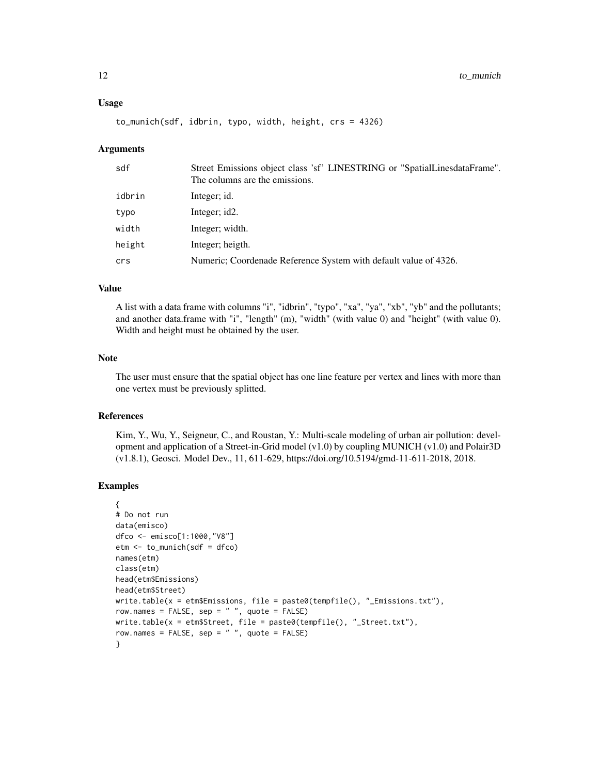# Usage

to\_munich(sdf, idbrin, typo, width, height, crs = 4326)

#### Arguments

| Street Emissions object class 'sf' LINESTRING or "SpatialLinesdataFrame".<br>The columns are the emissions. |
|-------------------------------------------------------------------------------------------------------------|
| Integer; id.                                                                                                |
| Integer; id2.                                                                                               |
| Integer; width.                                                                                             |
| Integer; heigth.                                                                                            |
| Numeric; Coordenade Reference System with default value of 4326.                                            |
|                                                                                                             |

#### Value

A list with a data frame with columns "i", "idbrin", "typo", "xa", "ya", "xb", "yb" and the pollutants; and another data.frame with "i", "length" (m), "width" (with value 0) and "height" (with value 0). Width and height must be obtained by the user.

# Note

The user must ensure that the spatial object has one line feature per vertex and lines with more than one vertex must be previously splitted.

#### References

Kim, Y., Wu, Y., Seigneur, C., and Roustan, Y.: Multi-scale modeling of urban air pollution: development and application of a Street-in-Grid model (v1.0) by coupling MUNICH (v1.0) and Polair3D (v1.8.1), Geosci. Model Dev., 11, 611-629, https://doi.org/10.5194/gmd-11-611-2018, 2018.

```
{
# Do not run
data(emisco)
dfco <- emisco[1:1000,"V8"]
etm <- to_munich(sdf = dfco)
names(etm)
class(etm)
head(etm$Emissions)
head(etm$Street)
write.table(x = etm$Emissions, file = paste0(tempfile(), "_Emissions.txt"),
row.names = FALSE, sep = " ", quote = FALSE)
write.table(x = etm$Street, file = paste0(tempfile(), "_Street.txt"),
row.names = FALSE, sep = " ", quote = FALSE)
}
```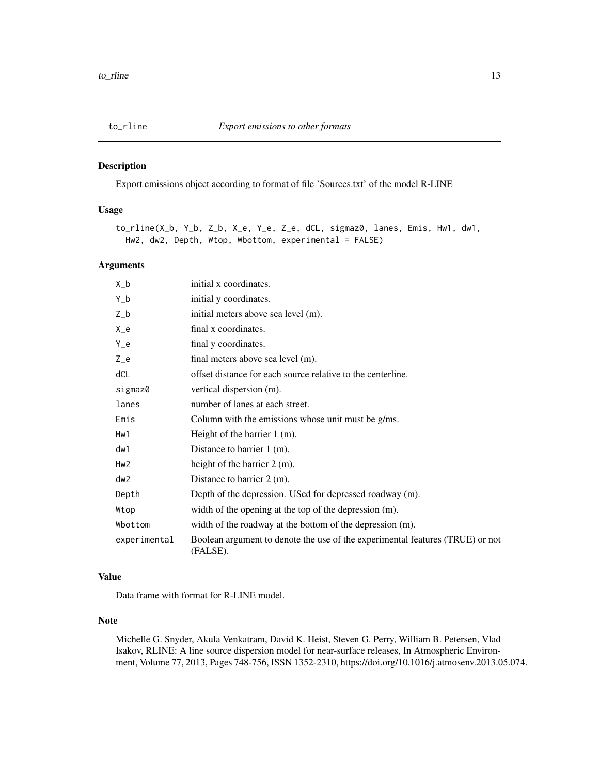<span id="page-12-0"></span>

# Description

Export emissions object according to format of file 'Sources.txt' of the model R-LINE

# Usage

to\_rline(X\_b, Y\_b, Z\_b, X\_e, Y\_e, Z\_e, dCL, sigmaz0, lanes, Emis, Hw1, dw1, Hw2, dw2, Depth, Wtop, Wbottom, experimental = FALSE)

# Arguments

| $X_b$           | initial x coordinates.                                                                    |
|-----------------|-------------------------------------------------------------------------------------------|
| $Y_b$           | initial y coordinates.                                                                    |
| $Z_b$           | initial meters above sea level (m).                                                       |
| $X_e$           | final x coordinates.                                                                      |
| $Y_e$           | final y coordinates.                                                                      |
| $Z_e$           | final meters above sea level (m).                                                         |
| dCL             | offset distance for each source relative to the centerline.                               |
| sigmaz0         | vertical dispersion (m).                                                                  |
| lanes           | number of lanes at each street.                                                           |
| Emis            | Column with the emissions whose unit must be g/ms.                                        |
| Hw1             | Height of the barrier $1$ (m).                                                            |
| dw1             | Distance to barrier $1$ (m).                                                              |
| Hw <sub>2</sub> | height of the barrier $2 \,$ (m).                                                         |
| dw <sub>2</sub> | Distance to barrier $2 \, \text{(m)}$ .                                                   |
| Depth           | Depth of the depression. USed for depressed roadway (m).                                  |
| Wtop            | width of the opening at the top of the depression (m).                                    |
| Wbottom         | width of the roadway at the bottom of the depression (m).                                 |
| experimental    | Boolean argument to denote the use of the experimental features (TRUE) or not<br>(FALSE). |

# Value

Data frame with format for R-LINE model.

# Note

Michelle G. Snyder, Akula Venkatram, David K. Heist, Steven G. Perry, William B. Petersen, Vlad Isakov, RLINE: A line source dispersion model for near-surface releases, In Atmospheric Environment, Volume 77, 2013, Pages 748-756, ISSN 1352-2310, https://doi.org/10.1016/j.atmosenv.2013.05.074.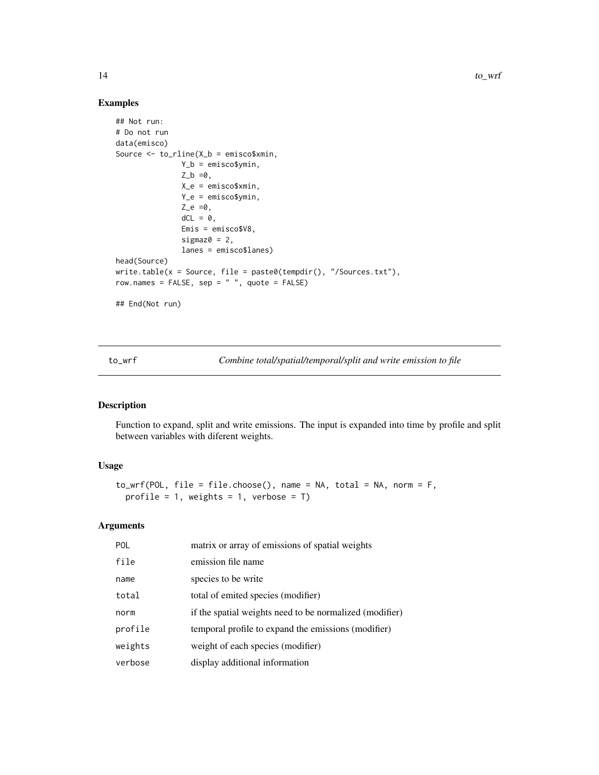# Examples

```
## Not run:
# Do not run
data(emisco)
Source <- to_rline(X_b = emisco$xmin,
               Y_b = emisco$ymin,
               Z_b = 0,
               X_e = emisco$xmin,
               Y_e = emisco$ymin,
               Z_e = 0,
               dCL = 0,
               Emis = emisco$V8,
               sigmaz0 = 2,
               lanes = emisco$lanes)
head(Source)
write.table(x = Source, file = paste0(tempdir(), "/Sources.txt"),
row.names = FALSE, sep = " ", quote = FALSE)
## End(Not run)
```
<span id="page-13-1"></span>to\_wrf *Combine total/spatial/temporal/split and write emission to file*

# Description

Function to expand, split and write emissions. The input is expanded into time by profile and split between variables with diferent weights.

# Usage

```
to_wrf(POL, file = file.choose(), name = NA, total = NA, norm = F,
 profile = 1, weights = 1, verbose = T)
```
# Arguments

| <b>POL</b> | matrix or array of emissions of spatial weights         |
|------------|---------------------------------------------------------|
| file       | emission file name                                      |
| name       | species to be write                                     |
| total      | total of emited species (modifier)                      |
| norm       | if the spatial weights need to be normalized (modifier) |
| profile    | temporal profile to expand the emissions (modifier)     |
| weights    | weight of each species (modifier)                       |
| verbose    | display additional information                          |

<span id="page-13-0"></span>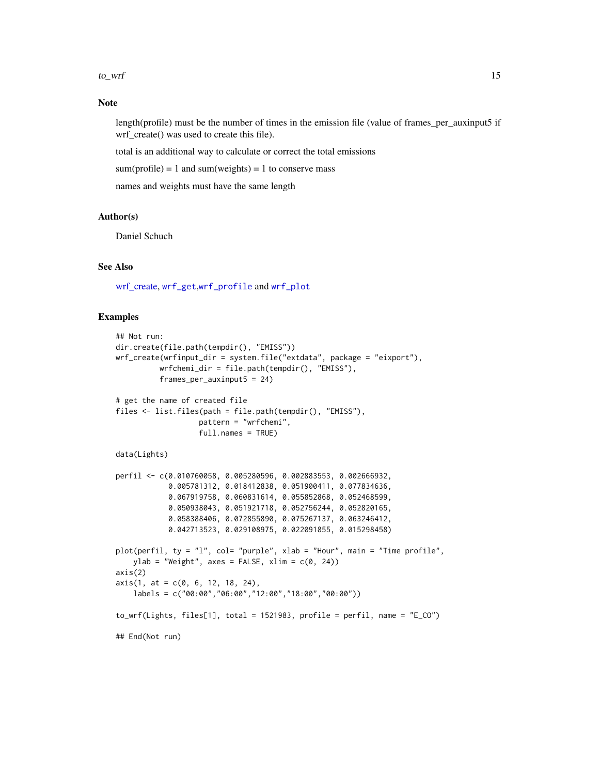#### <span id="page-14-0"></span> $\frac{15}{15}$

# Note

length(profile) must be the number of times in the emission file (value of frames\_per\_auxinput5 if wrf\_create() was used to create this file).

total is an additional way to calculate or correct the total emissions

sum(profile) = 1 and sum(weights) = 1 to conserve mass

names and weights must have the same length

#### Author(s)

Daniel Schuch

# See Also

[wrf\\_create,](#page-16-1) [wrf\\_get](#page-18-1),[wrf\\_profile](#page-21-1) and [wrf\\_plot](#page-20-1)

```
## Not run:
dir.create(file.path(tempdir(), "EMISS"))
wrf_create(wrfinput_dir = system.file("extdata", package = "eixport"),
          wrfchemi_dir = file.path(tempdir(), "EMISS"),
          frames_per_auxinput5 = 24)
# get the name of created file
files <- list.files(path = file.path(tempdir(), "EMISS"),
                   pattern = "wrfchemi",
                   full.names = TRUE)
data(Lights)
perfil <- c(0.010760058, 0.005280596, 0.002883553, 0.002666932,
            0.005781312, 0.018412838, 0.051900411, 0.077834636,
            0.067919758, 0.060831614, 0.055852868, 0.052468599,
            0.050938043, 0.051921718, 0.052756244, 0.052820165,
            0.058388406, 0.072855890, 0.075267137, 0.063246412,
            0.042713523, 0.029108975, 0.022091855, 0.015298458)
plot(perfil, ty = "1", col= "purple", xlab = "Hour", main = "Time profile",
   ylab = "Weight", axes = FALSE, xlim = c(0, 24))
axis(2)
axis(1, at = c(0, 6, 12, 18, 24),labels = c("00:00","06:00","12:00","18:00","00:00"))
to_wrf(Lights, files[1], total = 1521983, profile = perfil, name = "E_CO")
## End(Not run)
```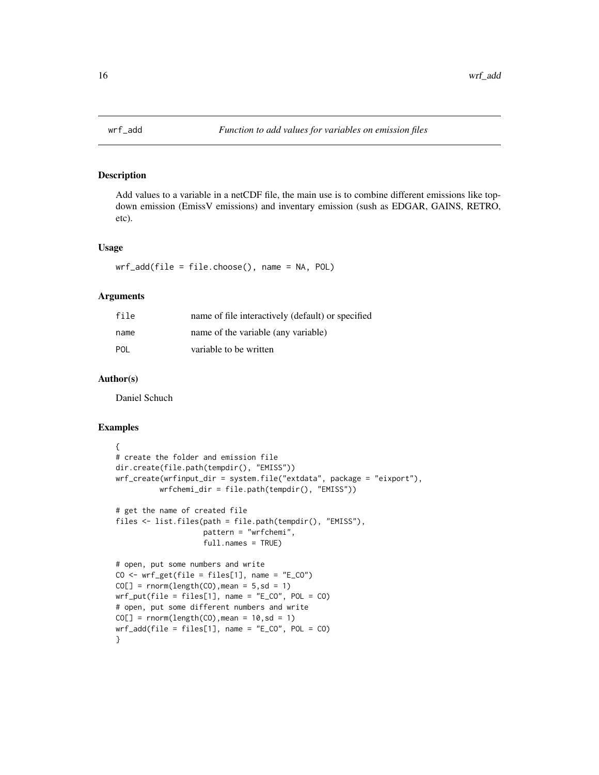<span id="page-15-0"></span>

# Description

Add values to a variable in a netCDF file, the main use is to combine different emissions like topdown emission (EmissV emissions) and inventary emission (sush as EDGAR, GAINS, RETRO, etc).

#### Usage

wrf\_add(file = file.choose(), name = NA, POL)

# Arguments

| file       | name of file interactively (default) or specified |
|------------|---------------------------------------------------|
| name       | name of the variable (any variable)               |
| <b>POL</b> | variable to be written                            |

# Author(s)

Daniel Schuch

```
{
# create the folder and emission file
dir.create(file.path(tempdir(), "EMISS"))
wrf_create(wrfinput_dir = system.file("extdata", package = "eixport"),
          wrfchemi_dir = file.path(tempdir(), "EMISS"))
# get the name of created file
files <- list.files(path = file.path(tempdir(), "EMISS"),
                     pattern = "wrfchemi",
                    full.names = TRUE)
# open, put some numbers and write
CO \leftarrow wrf\_get(file = files[1], name = "E_CO")CO[\ ] = rnorm(length(CO), mean = 5, sd = 1)
wrf_put(file = files[1], name = "E_C0", POL = CO)# open, put some different numbers and write
CO[\ ] = rnorm(length(CO), mean = 10, sd = 1)
wrf\_add(file = files[1], name = "E_CO", POL = CO)}
```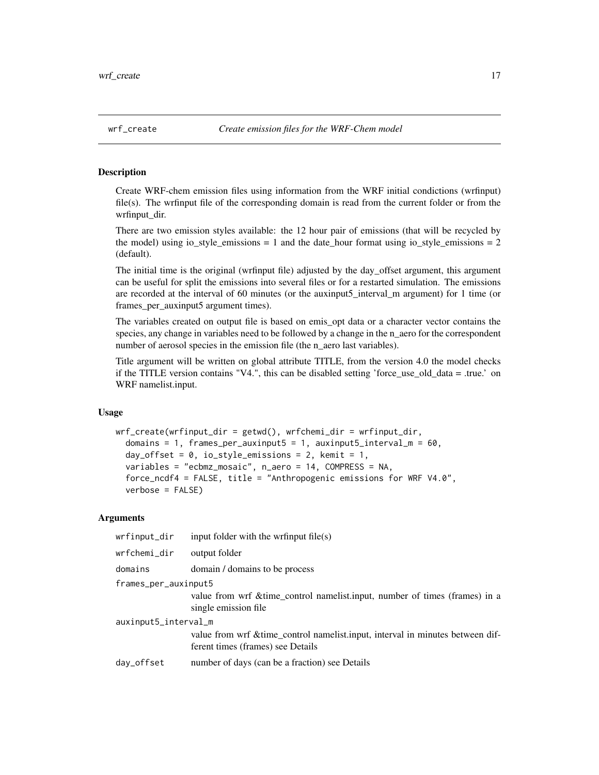<span id="page-16-1"></span><span id="page-16-0"></span>

# Description

Create WRF-chem emission files using information from the WRF initial condictions (wrfinput) file(s). The wrfinput file of the corresponding domain is read from the current folder or from the wrfinput\_dir.

There are two emission styles available: the 12 hour pair of emissions (that will be recycled by the model) using io\_style\_emissions = 1 and the date\_hour format using io\_style\_emissions =  $2$ (default).

The initial time is the original (wrfinput file) adjusted by the day\_offset argument, this argument can be useful for split the emissions into several files or for a restarted simulation. The emissions are recorded at the interval of 60 minutes (or the auxinput5\_interval\_m argument) for 1 time (or frames\_per\_auxinput5 argument times).

The variables created on output file is based on emis\_opt data or a character vector contains the species, any change in variables need to be followed by a change in the n\_aero for the correspondent number of aerosol species in the emission file (the n\_aero last variables).

Title argument will be written on global attribute TITLE, from the version 4.0 the model checks if the TITLE version contains "V4.", this can be disabled setting 'force\_use\_old\_data = .true.' on WRF namelist.input.

#### Usage

```
wrf_create(wrfinput_dir = getwd(), wrfchemi_dir = wrfinput_dir,
  domains = 1, frames_per_auxinput5 = 1, auxinput5_interval_m = 60,
  day_offset = 0, io_style_emissions = 2, kemit = 1,
  variables = "ecbmz_mosaic", n_aero = 14, COMPRESS = NA,
  force_ncdf4 = FALSE, title = "Anthropogenic emissions for WRF V4.0",
  verbose = FALSE)
```
# Arguments

| wrfinput_dir         | input folder with the writinput file(s)                                                                             |  |
|----------------------|---------------------------------------------------------------------------------------------------------------------|--|
| wrfchemi_dir         | output folder                                                                                                       |  |
| domains              | domain / domains to be process                                                                                      |  |
| frames_per_auxinput5 |                                                                                                                     |  |
|                      | value from wrf & time_control namelist.input, number of times (frames) in a<br>single emission file                 |  |
| auxinput5_interval_m |                                                                                                                     |  |
|                      | value from wrf & time_control namelist.input, interval in minutes between dif-<br>ferent times (frames) see Details |  |
| day_offset           | number of days (can be a fraction) see Details                                                                      |  |
|                      |                                                                                                                     |  |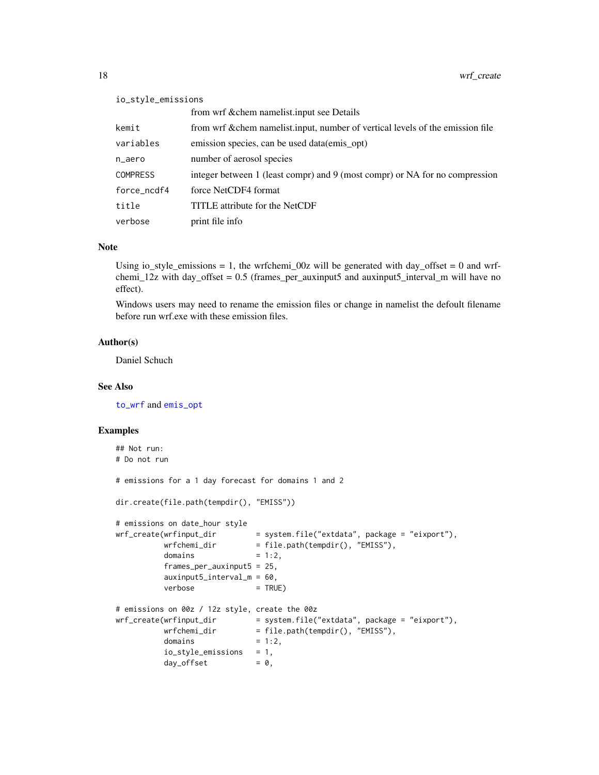# <span id="page-17-0"></span>io\_style\_emissions

|                 | from wrf & chem namelist.input see Details                                     |
|-----------------|--------------------------------------------------------------------------------|
| kemit           | from wrf & chem namelist.input, number of vertical levels of the emission file |
| variables       | emission species, can be used data (emis opt)                                  |
| n_aero          | number of aerosol species                                                      |
| <b>COMPRESS</b> | integer between 1 (least compr) and 9 (most compr) or NA for no compression    |
| force_ncdf4     | force NetCDF4 format                                                           |
| title           | TITLE attribute for the NetCDF                                                 |
| verbose         | print file info                                                                |

# Note

Using io style emissions = 1, the wrfchemi  $00z$  will be generated with day offset = 0 and wrfchemi\_12z with day\_offset = 0.5 (frames\_per\_auxinput5 and auxinput5\_interval\_m will have no effect).

Windows users may need to rename the emission files or change in namelist the defoult filename before run wrf.exe with these emission files.

# Author(s)

Daniel Schuch

# See Also

[to\\_wrf](#page-13-1) and [emis\\_opt](#page-2-1)

```
## Not run:
# Do not run
# emissions for a 1 day forecast for domains 1 and 2
dir.create(file.path(tempdir(), "EMISS"))
# emissions on date_hour style
wrf_create(wrfinput_dir = system.file("extdata", package = "eixport"),
         wrfchemi_dir = file.path(tempdir(), "EMISS"),
         domains = 1:2,
         frames_per_auxinput5 = 25,
         auxinput5_interval_m = 60,
         verbose = TRUE)
# emissions on 00z / 12z style, create the 00z
wrf_create(wrfinput_dir = system.file("extdata", package = "eixport"),
         wrfchemi\_dir = file.path(tempdir(), "EMISS"),
         domains = 1:2,
         io_style_emissions = 1,
         day_{of}fset = 0,
```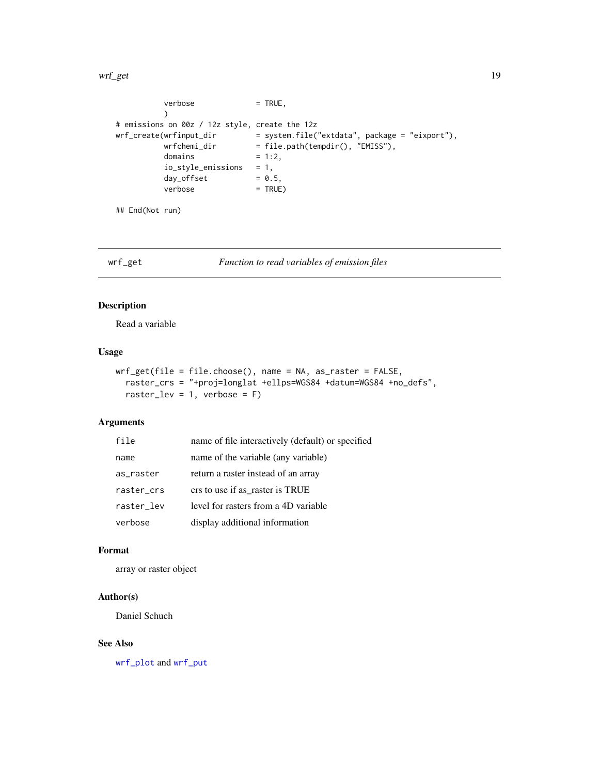#### <span id="page-18-0"></span>wrf\_get 19

```
verbose = TRUE,
           \mathcal{L}# emissions on 00z / 12z style, create the 12z
wrf_create(wrfinput_dir = system.file("extdata", package = "eixport"),
          \text{wrfchemi\_dir} = \text{file.path}(\text{tempdir}(), \text{ "EMISS"}),\text{domains} = 1:2,= 1:2,io_style_emissions = 1,
           day_offset = 0.5,
           verbose = TRUE)
## End(Not run)
```
<span id="page-18-1"></span>

wrf\_get *Function to read variables of emission files*

# Description

Read a variable

# Usage

```
wrf_get(file = file.choose(), name = NA, as_raster = FALSE,
 raster_crs = "+proj=longlat +ellps=WGS84 +datum=WGS84 +no_defs",
 raster_lev = 1, verbose = F)
```
# Arguments

| file       | name of file interactively (default) or specified |
|------------|---------------------------------------------------|
| name       | name of the variable (any variable)               |
| as_raster  | return a raster instead of an array               |
| raster_crs | crs to use if as raster is TRUE                   |
| raster lev | level for rasters from a 4D variable              |
| verbose    | display additional information                    |

# Format

array or raster object

# Author(s)

Daniel Schuch

# See Also

[wrf\\_plot](#page-20-1) and [wrf\\_put](#page-22-1)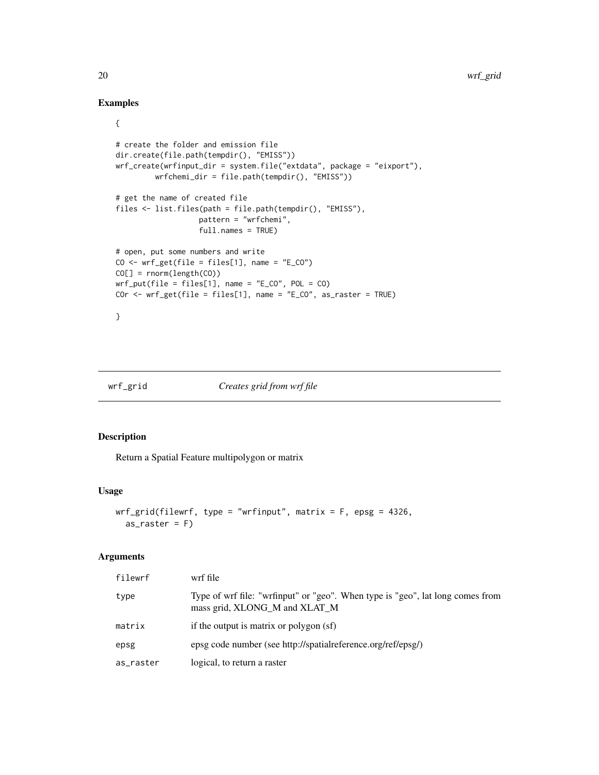# Examples

{

```
# create the folder and emission file
dir.create(file.path(tempdir(), "EMISS"))
wrf_create(wrfinput_dir = system.file("extdata", package = "eixport"),
         wrfchemi_dir = file.path(tempdir(), "EMISS"))
# get the name of created file
files <- list.files(path = file.path(tempdir(), "EMISS"),
                   pattern = "wrfchemi",
                   full.names = TRUE)
# open, put some numbers and write
CO \leftarrow wrf\_get(file = files[1], name = "E_CO")CO[] = rnorm(length(CO))
wrf_put(file = files[1], name = "E_C0", POL = CO)COr <- wrf_get(file = files[1], name = "E_CO", as_raster = TRUE)
}
```

```
wrf_grid Creates grid from wrf file
```
# Description

Return a Spatial Feature multipolygon or matrix

#### Usage

```
wrf\_grid(filewrf, type = "wrfinput", matrix = F, epsg = 4326,as\_raster = F
```
#### Arguments

| filewrf   | wrf file                                                                                                        |
|-----------|-----------------------------------------------------------------------------------------------------------------|
| type      | Type of wrf file: "wrfinput" or "geo". When type is "geo", lat long comes from<br>mass grid, XLONG_M and XLAT_M |
| matrix    | if the output is matrix or polygon (sf)                                                                         |
| epsg      | epsg code number (see http://spatialreference.org/ref/epsg/)                                                    |
| as_raster | logical, to return a raster                                                                                     |

<span id="page-19-0"></span>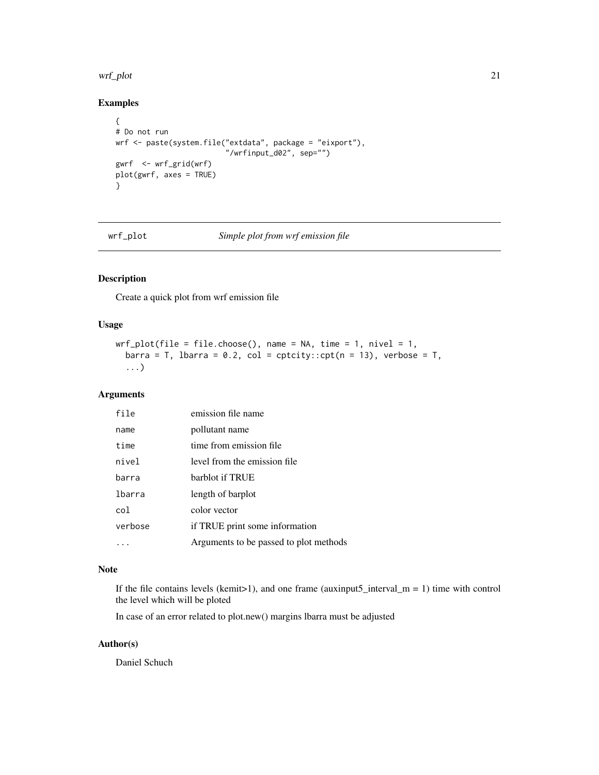#### <span id="page-20-0"></span>wrf\_plot 21

# Examples

```
{
# Do not run
wrf <- paste(system.file("extdata", package = "eixport"),
                        "/wrfinput_d02", sep="")
gwrf <- wrf_grid(wrf)
plot(gwrf, axes = TRUE)
}
```
<span id="page-20-1"></span>

# wrf\_plot *Simple plot from wrf emission file*

# Description

Create a quick plot from wrf emission file

# Usage

```
wrf\_plot(file = file.close(), name = NA, time = 1, nivel = 1,barra = T, lbarra = 0.2, col = cptcity::cpt(n = 13), verbose = T,
  ...)
```
#### Arguments

| file    | emission file name                     |
|---------|----------------------------------------|
| name    | pollutant name                         |
| time    | time from emission file                |
| nivel   | level from the emission file.          |
| barra   | barblot if TRUE                        |
| lbarra  | length of barplot                      |
| col     | color vector                           |
| verbose | if TRUE print some information         |
|         | Arguments to be passed to plot methods |

# Note

If the file contains levels (kemit>1), and one frame (auxinput5\_interval\_m = 1) time with control the level which will be ploted

In case of an error related to plot.new() margins lbarra must be adjusted

# Author(s)

Daniel Schuch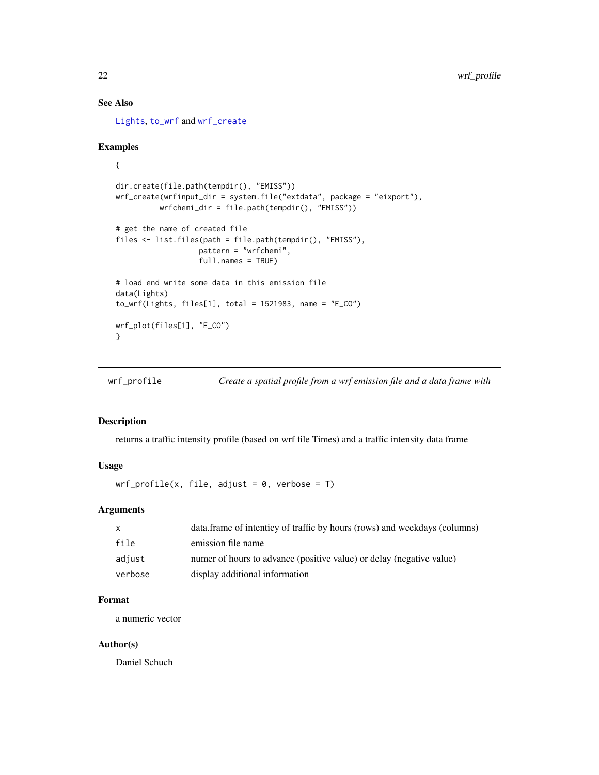# <span id="page-21-0"></span>See Also

[Lights](#page-5-1), [to\\_wrf](#page-13-1) and [wrf\\_create](#page-16-1)

#### Examples

```
{
dir.create(file.path(tempdir(), "EMISS"))
wrf_create(wrfinput_dir = system.file("extdata", package = "eixport"),
         wrfchemi_dir = file.path(tempdir(), "EMISS"))
# get the name of created file
files <- list.files(path = file.path(tempdir(), "EMISS"),
                  pattern = "wrfchemi",
                  full.names = TRUE)
# load end write some data in this emission file
data(Lights)
to_wrf(Lights, files[1], total = 1521983, name = "E_CO")
wrf_plot(files[1], "E_CO")
}
```
<span id="page-21-1"></span>wrf\_profile *Create a spatial profile from a wrf emission file and a data frame with*

# Description

returns a traffic intensity profile (based on wrf file Times) and a traffic intensity data frame

# Usage

```
wrf\_profile(x, file, adjust = 0, verbose = T)
```
# Arguments

| $\mathsf{x}$ | data.frame of intenticy of traffic by hours (rows) and weekdays (columns) |
|--------------|---------------------------------------------------------------------------|
| file         | emission file name                                                        |
| adjust       | numer of hours to advance (positive value) or delay (negative value)      |
| verbose      | display additional information                                            |

# Format

a numeric vector

# Author(s)

Daniel Schuch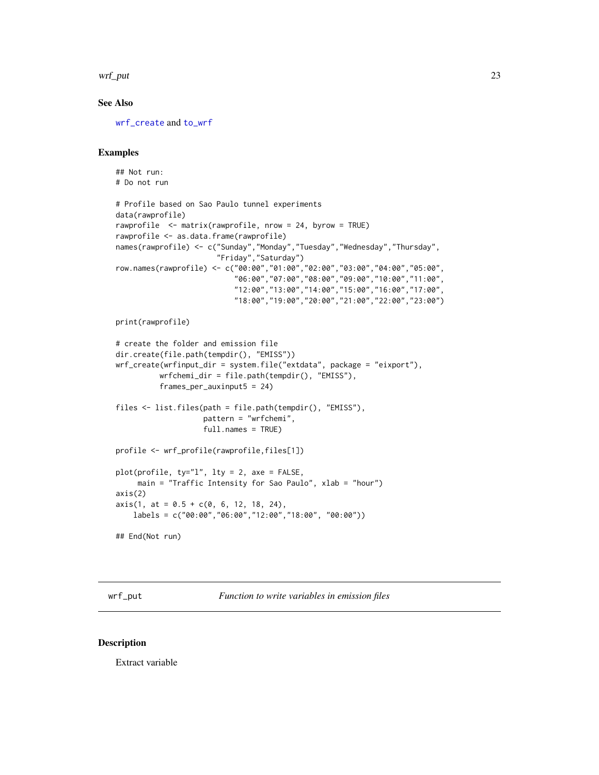<span id="page-22-0"></span>wrf\_put 23

# See Also

[wrf\\_create](#page-16-1) and [to\\_wrf](#page-13-1)

# Examples

```
## Not run:
# Do not run
# Profile based on Sao Paulo tunnel experiments
data(rawprofile)
rawprofile <- matrix(rawprofile, nrow = 24, byrow = TRUE)
rawprofile <- as.data.frame(rawprofile)
names(rawprofile) <- c("Sunday","Monday","Tuesday","Wednesday","Thursday",
                       "Friday","Saturday")
row.names(rawprofile) <- c("00:00","01:00","02:00","03:00","04:00","05:00",
                           "06:00","07:00","08:00","09:00","10:00","11:00",
                           "12:00","13:00","14:00","15:00","16:00","17:00",
                           "18:00","19:00","20:00","21:00","22:00","23:00")
print(rawprofile)
# create the folder and emission file
dir.create(file.path(tempdir(), "EMISS"))
wrf_create(wrfinput_dir = system.file("extdata", package = "eixport"),
          wrfchemi_dir = file.path(tempdir(), "EMISS"),
          frames_per_auxinput5 = 24)
files <- list.files(path = file.path(tempdir(), "EMISS"),
                    pattern = "wrfchemi",
                    full.names = TRUE)
profile <- wrf_profile(rawprofile,files[1])
plot(profile, ty="l", lty = 2, axe = FALSE,
    main = "Traffic Intensity for Sao Paulo", xlab = "hour")
axis(2)
axis(1, at = 0.5 + c(0, 6, 12, 18, 24),labels = c("00:00","06:00","12:00","18:00", "00:00"))
## End(Not run)
```
<span id="page-22-1"></span>wrf\_put *Function to write variables in emission files*

#### Description

Extract variable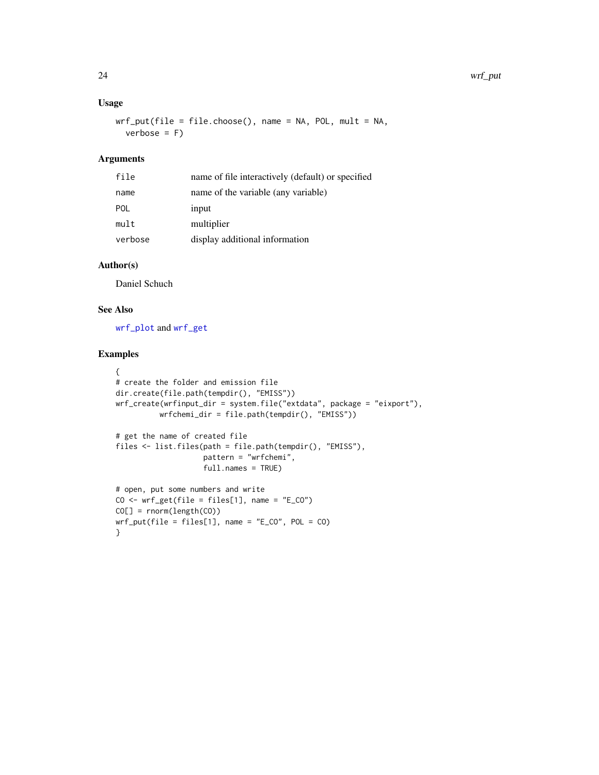# <span id="page-23-0"></span>Usage

```
wrf_put(file = filechoose(), name = NA, POL, mult = NA,verbose = F)
```
# Arguments

| name of file interactively (default) or specified |
|---------------------------------------------------|
|                                                   |
|                                                   |
|                                                   |
|                                                   |
|                                                   |

# Author(s)

Daniel Schuch

# See Also

[wrf\\_plot](#page-20-1) and [wrf\\_get](#page-18-1)

```
{
# create the folder and emission file
dir.create(file.path(tempdir(), "EMISS"))
wrf_create(wrfinput_dir = system.file("extdata", package = "eixport"),
          wrfchemi_dir = file.path(tempdir(), "EMISS"))
# get the name of created file
files <- list.files(path = file.path(tempdir(), "EMISS"),
                    pattern = "wrfchemi",
                    full.names = TRUE)
# open, put some numbers and write
CO \leftarrow wrf\_get(file = files[1], name = "E_CO")CO[] = rnorm(length(CO))
wrf_put(file = files[1], name = "E_CO", POL = CO)}
```